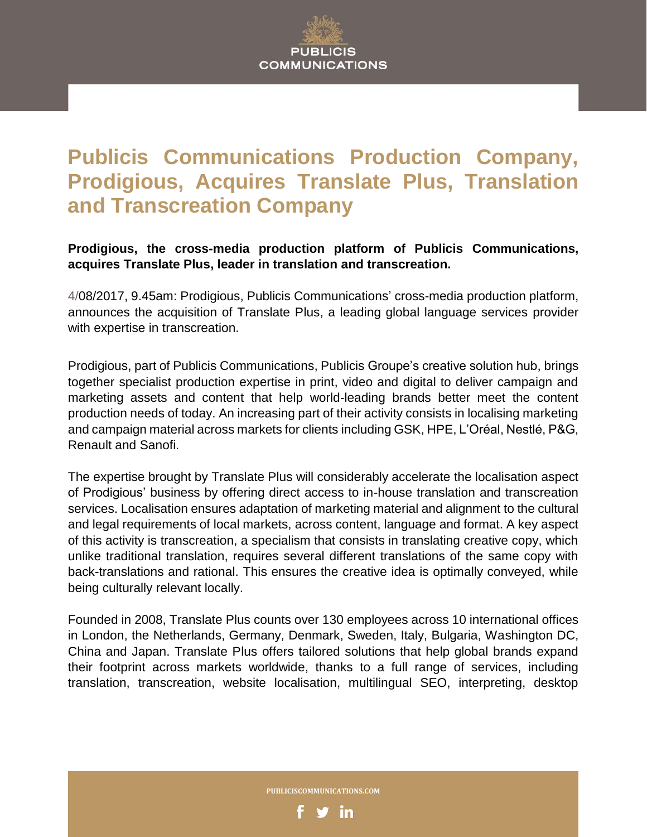# **Publicis Communications Production Company, Prodigious, Acquires Translate Plus, Translation and Transcreation Company**

**Prodigious, the cross-media production platform of Publicis Communications, acquires Translate Plus, leader in translation and transcreation.**

4/08/2017, 9.45am: Prodigious, Publicis Communications' cross-media production platform, announces the acquisition of Translate Plus, a leading global language services provider with expertise in transcreation.

Prodigious, part of Publicis Communications, Publicis Groupe's creative solution hub, brings together specialist production expertise in print, video and digital to deliver campaign and marketing assets and content that help world-leading brands better meet the content production needs of today. An increasing part of their activity consists in localising marketing and campaign material across markets for clients including GSK, HPE, L'Oréal, Nestlé, P&G, Renault and Sanofi.

The expertise brought by Translate Plus will considerably accelerate the localisation aspect of Prodigious' business by offering direct access to in-house translation and transcreation services. Localisation ensures adaptation of marketing material and alignment to the cultural and legal requirements of local markets, across content, language and format. A key aspect of this activity is transcreation, a specialism that consists in translating creative copy, which unlike traditional translation, requires several different translations of the same copy with back-translations and rational. This ensures the creative idea is optimally conveyed, while being culturally relevant locally.

Founded in 2008, Translate Plus counts over 130 employees across 10 international offices in London, the Netherlands, Germany, Denmark, Sweden, Italy, Bulgaria, Washington DC, China and Japan. Translate Plus offers tailored solutions that help global brands expand their footprint across markets worldwide, thanks to a full range of services, including translation, transcreation, website localisation, multilingual SEO, interpreting, desktop



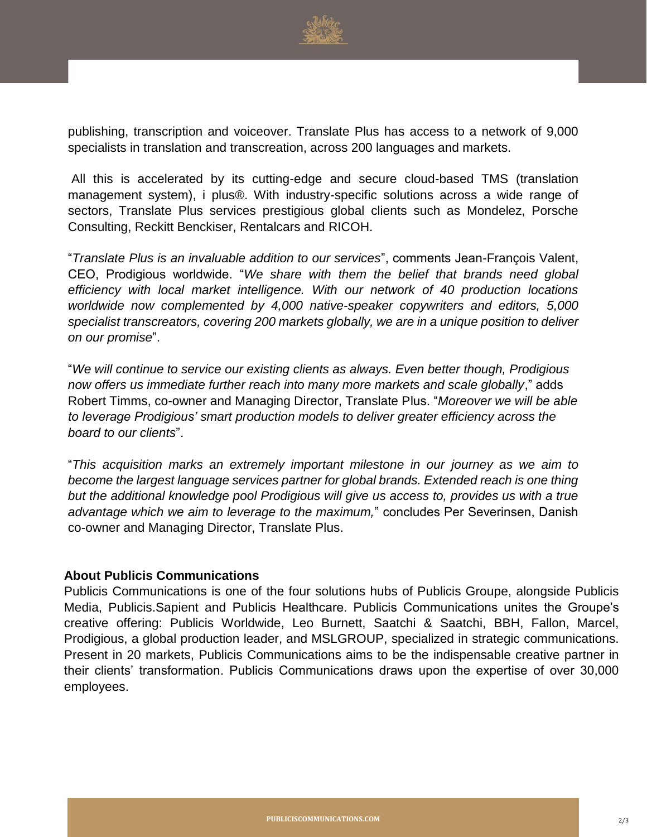

publishing, transcription and voiceover. Translate Plus has access to a network of 9,000 specialists in translation and transcreation, across 200 languages and markets.

All this is accelerated by its cutting-edge and secure cloud-based TMS (translation management system), i plus®. With industry-specific solutions across a wide range of sectors, Translate Plus services prestigious global clients such as Mondelez, Porsche Consulting, Reckitt Benckiser, Rentalcars and RICOH.

"*Translate Plus is an invaluable addition to our services*", comments Jean-François Valent, CEO, Prodigious worldwide. "*We share with them the belief that brands need global efficiency with local market intelligence. With our network of 40 production locations worldwide now complemented by 4,000 native-speaker copywriters and editors, 5,000 specialist transcreators, covering 200 markets globally, we are in a unique position to deliver on our promise*".

"*We will continue to service our existing clients as always. Even better though, Prodigious now offers us immediate further reach into many more markets and scale globally*," adds Robert Timms, co-owner and Managing Director, Translate Plus. "*Moreover we will be able to leverage Prodigious' smart production models to deliver greater efficiency across the board to our clients*".

"*This acquisition marks an extremely important milestone in our journey as we aim to become the largest language services partner for global brands. Extended reach is one thing but the additional knowledge pool Prodigious will give us access to, provides us with a true advantage which we aim to leverage to the maximum,*" concludes Per Severinsen, Danish co-owner and Managing Director, Translate Plus.

## **About Publicis Communications**

Media, Publicis.Sapient and Publicis Healthcare. Publicis Communications unites the Groupe's Publicis Communications is one of the four solutions hubs of Publicis Groupe, alongside Publicis creative offering: Publicis Worldwide, Leo Burnett, Saatchi & Saatchi, BBH, Fallon, Marcel, Prodigious, a global production leader, and MSLGROUP, specialized in strategic communications. Present in 20 markets, Publicis Communications aims to be the indispensable creative partner in their clients' transformation. Publicis Communications draws upon the expertise of over 30,000 employees.